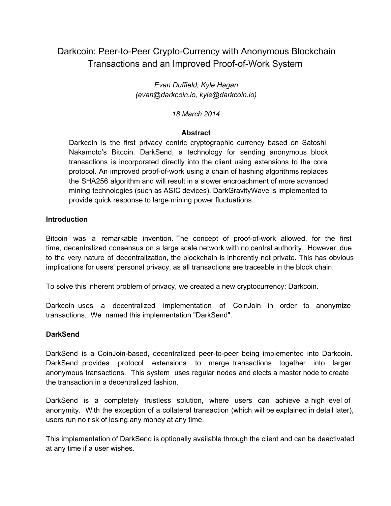# Darkcoin: Peer-to-Peer Crypto-Currency with Anonymous Blockchain Transactions and an Improved Proof-of-Work System

*Evan Duffield, Kyle Hagan (evan@darkcoin.io, kyle@darkcoin.io)*

*18 March 2014*

### **Abstract**

Darkcoin is the first privacy centric cryptographic currency based on Satoshi Nakamoto's Bitcoin. DarkSend, a technology for sending anonymous block transactions is incorporated directly into the client using extensions to the core protocol. An improved proof-of-work using a chain of hashing algorithms replaces the SHA256 algorithm and will result in a slower encroachment of more advanced mining technologies (such as ASIC devices). DarkGravityWave is implemented to provide quick response to large mining power fluctuations.

### **Introduction**

Bitcoin was a remarkable invention. The concept of proof-of-work allowed, for the first time, decentralized consensus on a large scale network with no central authority. However, due to the very nature of decentralization, the blockchain is inherently not private. This has obvious implications for users' personal privacy, as all transactions are traceable in the block chain.

To solve this inherent problem of privacy, we created a new cryptocurrency: Darkcoin.

Darkcoin uses a decentralized implementation of CoinJoin in order to anonymize transactions. We named this implementation "DarkSend".

### **DarkSend**

DarkSend is a CoinJoin-based, decentralized peer-to-peer being implemented into Darkcoin. DarkSend provides protocol extensions to merge transactions together into larger anonymous transactions. This system uses regular nodes and elects a master node to create the transaction in a decentralized fashion.

DarkSend is a completely trustless solution, where users can achieve a high level of anonymity. With the exception of a collateral transaction (which will be explained in detail later), users run no risk of losing any money at any time.

This implementation of DarkSend is optionally available through the client and can be deactivated at any time if a user wishes.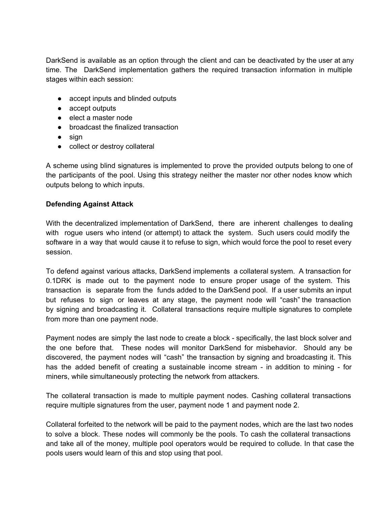DarkSend is available as an option through the client and can be deactivated by the user at any time. The DarkSend implementation gathers the required transaction information in multiple stages within each session:

- accept inputs and blinded outputs
- accept outputs
- elect a master node
- broadcast the finalized transaction
- sign
- collect or destroy collateral

A scheme using blind signatures is implemented to prove the provided outputs belong to one of the participants of the pool. Using this strategy neither the master nor other nodes know which outputs belong to which inputs.

# **Defending Against Attack**

With the decentralized implementation of DarkSend, there are inherent challenges to dealing with rogue users who intend (or attempt) to attack the system. Such users could modify the software in a way that would cause it to refuse to sign, which would force the pool to reset every session.

To defend against various attacks, DarkSend implements a collateral system. A transaction for 0.1DRK is made out to the payment node to ensure proper usage of the system. This transaction is separate from the funds added to the DarkSend pool. If a user submits an input but refuses to sign or leaves at any stage, the payment node will "cash" the transaction by signing and broadcasting it. Collateral transactions require multiple signatures to complete from more than one payment node.

Payment nodes are simply the last node to create a block - specifically, the last block solver and the one before that. These nodes will monitor DarkSend for misbehavior. Should any be discovered, the payment nodes will "cash" the transaction by signing and broadcasting it. This has the added benefit of creating a sustainable income stream - in addition to mining - for miners, while simultaneously protecting the network from attackers.

The collateral transaction is made to multiple payment nodes. Cashing collateral transactions require multiple signatures from the user, payment node 1 and payment node 2.

Collateral forfeited to the network will be paid to the payment nodes, which are the last two nodes to solve a block. These nodes will commonly be the pools. To cash the collateral transactions and take all of the money, multiple pool operators would be required to collude. In that case the pools users would learn of this and stop using that pool.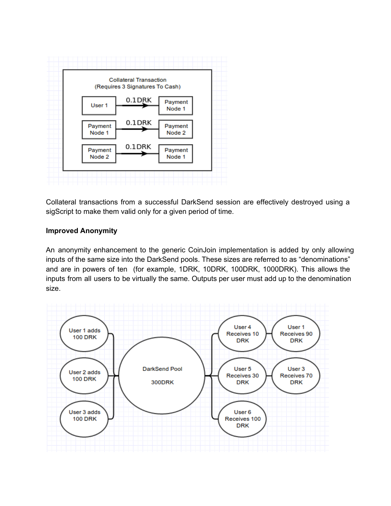

Collateral transactions from a successful DarkSend session are effectively destroyed using a sigScript to make them valid only for a given period of time.

# **Improved Anonymity**

An anonymity enhancement to the generic CoinJoin implementation is added by only allowing inputs of the same size into the DarkSend pools. These sizes are referred to as "denominations" and are in powers of ten (for example, 1DRK, 10DRK, 100DRK, 1000DRK). This allows the inputs from all users to be virtually the same. Outputs per user must add up to the denomination size.

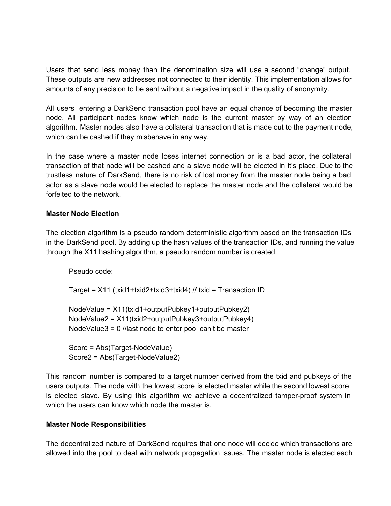Users that send less money than the denomination size will use a second "change" output. These outputs are new addresses not connected to their identity. This implementation allows for amounts of any precision to be sent without a negative impact in the quality of anonymity.

All users entering a DarkSend transaction pool have an equal chance of becoming the master node. All participant nodes know which node is the current master by way of an election algorithm. Master nodes also have a collateral transaction that is made out to the payment node, which can be cashed if they misbehave in any way.

In the case where a master node loses internet connection or is a bad actor, the collateral transaction of that node will be cashed and a slave node will be elected in it's place. Due to the trustless nature of DarkSend, there is no risk of lost money from the master node being a bad actor as a slave node would be elected to replace the master node and the collateral would be forfeited to the network.

# **Master Node Election**

The election algorithm is a pseudo random deterministic algorithm based on the transaction IDs in the DarkSend pool. By adding up the hash values of the transaction IDs, and running the value through the X11 hashing algorithm, a pseudo random number is created.

Pseudo code: Target = X11 (txid1+txid2+txid3+txid4) // txid = Transaction ID NodeValue = X11(txid1+outputPubkey1+outputPubkey2) NodeValue2 = X11(txid2+outputPubkey3+outputPubkey4) NodeValue3 = 0 //last node to enter pool can't be master Score = Abs(Target-NodeValue) Score2 = Abs(Target-NodeValue2)

This random number is compared to a target number derived from the txid and pubkeys of the users outputs. The node with the lowest score is elected master while the second lowest score is elected slave. By using this algorithm we achieve a decentralized tamper-proof system in which the users can know which node the master is.

### **Master Node Responsibilities**

The decentralized nature of DarkSend requires that one node will decide which transactions are allowed into the pool to deal with network propagation issues. The master node is elected each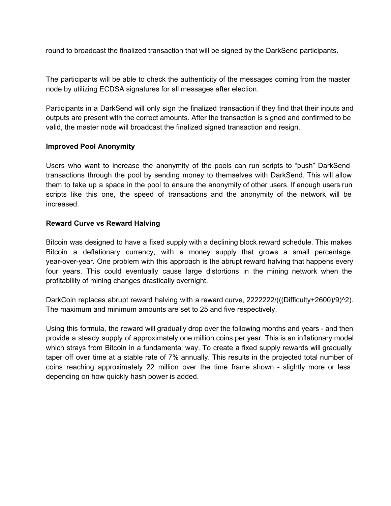round to broadcast the finalized transaction that will be signed by the DarkSend participants.

The participants will be able to check the authenticity of the messages coming from the master node by utilizing ECDSA signatures for all messages after election.

Participants in a DarkSend will only sign the finalized transaction if they find that their inputs and outputs are present with the correct amounts. After the transaction is signed and confirmed to be valid, the master node will broadcast the finalized signed transaction and resign.

# **Improved Pool Anonymity**

Users who want to increase the anonymity of the pools can run scripts to "push" DarkSend transactions through the pool by sending money to themselves with DarkSend. This will allow them to take up a space in the pool to ensure the anonymity of other users. If enough users run scripts like this one, the speed of transactions and the anonymity of the network will be increased.

# **Reward Curve vs Reward Halving**

Bitcoin was designed to have a fixed supply with a declining block reward schedule. This makes Bitcoin a deflationary currency, with a money supply that grows a small percentage year-over-year. One problem with this approach is the abrupt reward halving that happens every four years. This could eventually cause large distortions in the mining network when the profitability of mining changes drastically overnight.

DarkCoin replaces abrupt reward halving with a reward curve, 2222222/(((Difficulty+2600)/9)^2). The maximum and minimum amounts are set to 25 and five respectively.

Using this formula, the reward will gradually drop over the following months and years - and then provide a steady supply of approximately one million coins per year. This is an inflationary model which strays from Bitcoin in a fundamental way. To create a fixed supply rewards will gradually taper off over time at a stable rate of 7% annually. This results in the projected total number of coins reaching approximately 22 million over the time frame shown - slightly more or less depending on how quickly hash power is added.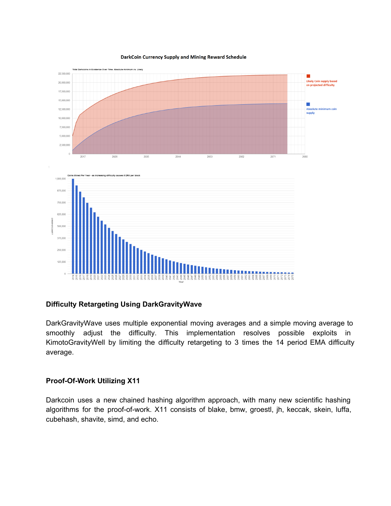#### DarkCoin Currency Supply and Mining Reward Schedule



#### **Difficulty Retargeting Using DarkGravityWave**

DarkGravityWave uses multiple exponential moving averages and a simple moving average to smoothly adjust the difficulty. This implementation resolves possible exploits in KimotoGravityWell by limiting the difficulty retargeting to 3 times the 14 period EMA difficulty average.

#### **Proof-Of-Work Utilizing X11**

Darkcoin uses a new chained hashing algorithm approach, with many new scientific hashing algorithms for the proof-of-work. X11 consists of blake, bmw, groestl, jh, keccak, skein, luffa, cubehash, shavite, simd, and echo.